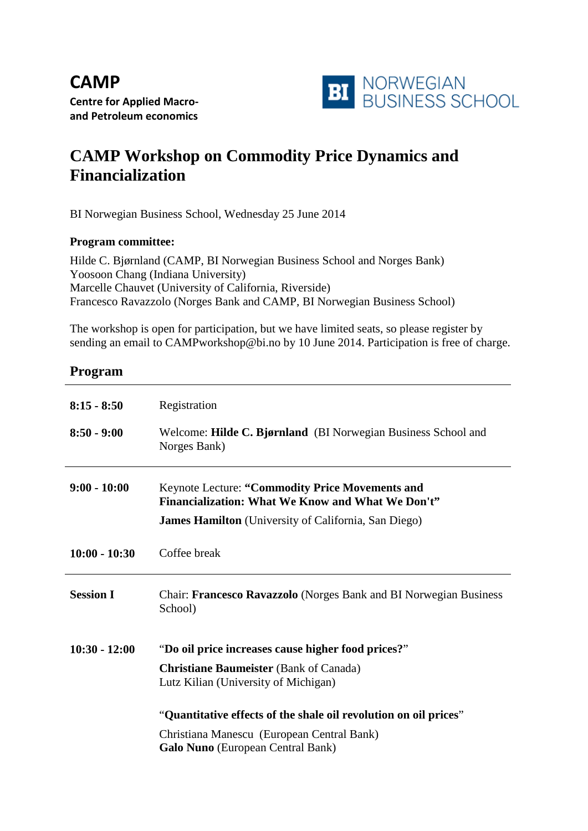**CAMP Centre for Applied Macroand Petroleum economics**



## **CAMP Workshop on Commodity Price Dynamics and Financialization**

BI Norwegian Business School, Wednesday 25 June 2014

## **Program committee:**

Hilde C. Bjørnland (CAMP, BI Norwegian Business School and Norges Bank) Yoosoon Chang (Indiana University) Marcelle Chauvet (University of California, Riverside) Francesco Ravazzolo (Norges Bank and CAMP, BI Norwegian Business School)

The workshop is open for participation, but we have limited seats, so please register by sending an email to CAMPworkshop@bi.no by 10 June 2014. Participation is free of charge.

## **Program**

| $8:15 - 8:50$<br>$8:50 - 9:00$ | Registration<br>Welcome: Hilde C. Bjørnland (BI Norwegian Business School and<br>Norges Bank)               |
|--------------------------------|-------------------------------------------------------------------------------------------------------------|
| $9:00 - 10:00$                 | <b>Keynote Lecture: "Commodity Price Movements and</b><br>Financialization: What We Know and What We Don't" |
|                                | <b>James Hamilton</b> (University of California, San Diego)                                                 |
| $10:00 - 10:30$                | Coffee break                                                                                                |
| <b>Session I</b>               | Chair: Francesco Ravazzolo (Norges Bank and BI Norwegian Business<br>School)                                |
| $10:30 - 12:00$                | "Do oil price increases cause higher food prices?"                                                          |
|                                | <b>Christiane Baumeister</b> (Bank of Canada)<br>Lutz Kilian (University of Michigan)                       |
|                                | "Quantitative effects of the shale oil revolution on oil prices"                                            |
|                                | Christiana Manescu (European Central Bank)<br><b>Galo Nuno</b> (European Central Bank)                      |